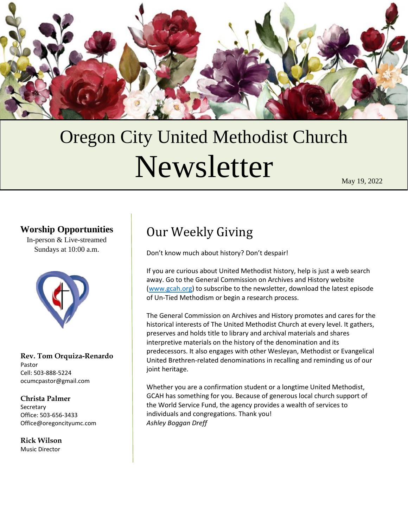

# Oregon City United Methodist Church Newsletter

May 19, 2022

# **Worship Opportunities**

In-person & Live-streamed Sundays at 10:00 a.m.



**Rev. Tom Orquiza-Renardo** Pastor Cell: 503-888-5224 ocumcpastor@gmail.com

#### **Christa Palmer**

Secretary Office: 503-656-3433 Office@oregoncityumc.com

**Rick Wilson** Music Director

# Our Weekly Giving

Don't know much about history? Don't despair!

If you are curious about United Methodist history, help is just a web search away. Go to the General Commission on Archives and History website [\(www.gcah.org\)](http://www.gcah.org/) to subscribe to the newsletter, download the latest episode of Un-Tied Methodism or begin a research process.

The General Commission on Archives and History promotes and cares for the historical interests of The United Methodist Church at every level. It gathers, preserves and holds title to library and archival materials and shares interpretive materials on the history of the denomination and its predecessors. It also engages with other Wesleyan, Methodist or Evangelical United Brethren-related denominations in recalling and reminding us of our joint heritage.

Whether you are a confirmation student or a longtime United Methodist, GCAH has something for you. Because of generous local church support of the World Service Fund, the agency provides a wealth of services to individuals and congregations. Thank you! *Ashley Boggan Dreff*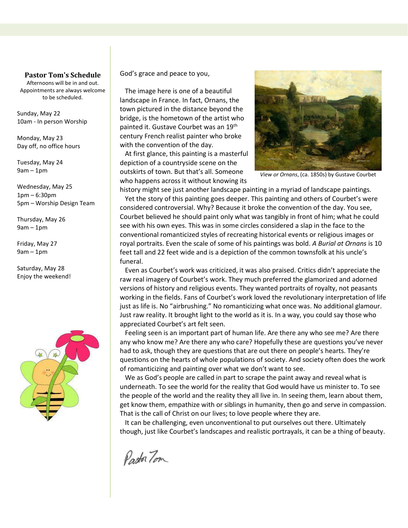#### **Pastor Tom's Schedule**

Afternoons will be in and out. Appointments are always welcome to be scheduled.

Sunday, May 22 10am - In person Worship

Monday, May 23 Day off, no office hours

Tuesday, May 24 9am – 1pm

Wednesday, May 25 1pm – 6:30pm 5pm – Worship Design Team

Thursday, May 26 9am – 1pm

Friday, May 27 9am – 1pm

Saturday, May 28 Enjoy the weekend!



God's grace and peace to you,

 The image here is one of a beautiful landscape in France. In fact, Ornans, the town pictured in the distance beyond the bridge, is the hometown of the artist who painted it. Gustave Courbet was an 19th century French realist painter who broke with the convention of the day.

 At first glance, this painting is a masterful depiction of a countryside scene on the outskirts of town. But that's all. Someone who happens across it without knowing its



*View or Ornans*, (ca. 1850s) by Gustave Courbet

history might see just another landscape painting in a myriad of landscape paintings. Yet the story of this painting goes deeper. This painting and others of Courbet's were considered controversial. Why? Because it broke the convention of the day. You see, Courbet believed he should paint only what was tangibly in front of him; what he could see with his own eyes. This was in some circles considered a slap in the face to the conventional romanticized styles of recreating historical events or religious images or royal portraits. Even the scale of some of his paintings was bold. *A Burial at Ornans* is 10 feet tall and 22 feet wide and is a depiction of the common townsfolk at his uncle's funeral.

 Even as Courbet's work was criticized, it was also praised. Critics didn't appreciate the raw real imagery of Courbet's work. They much preferred the glamorized and adorned versions of history and religious events. They wanted portraits of royalty, not peasants working in the fields. Fans of Courbet's work loved the revolutionary interpretation of life just as life is. No "airbrushing." No romanticizing what once was. No additional glamour. Just raw reality. It brought light to the world as it is. In a way, you could say those who appreciated Courbet's art felt seen.

 Feeling seen is an important part of human life. Are there any who see me? Are there any who know me? Are there any who care? Hopefully these are questions you've never had to ask, though they are questions that are out there on people's hearts. They're questions on the hearts of whole populations of society. And society often does the work of romanticizing and painting over what we don't want to see.

 We as God's people are called in part to scrape the paint away and reveal what is underneath. To see the world for the reality that God would have us minister to. To see the people of the world and the reality they all live in. In seeing them, learn about them, get know them, empathize with or siblings in humanity, then go and serve in compassion. That is the call of Christ on our lives; to love people where they are.

 It can be challenging, even unconventional to put ourselves out there. Ultimately though, just like Courbet's landscapes and realistic portrayals, it can be a thing of beauty.

Pastor Tom